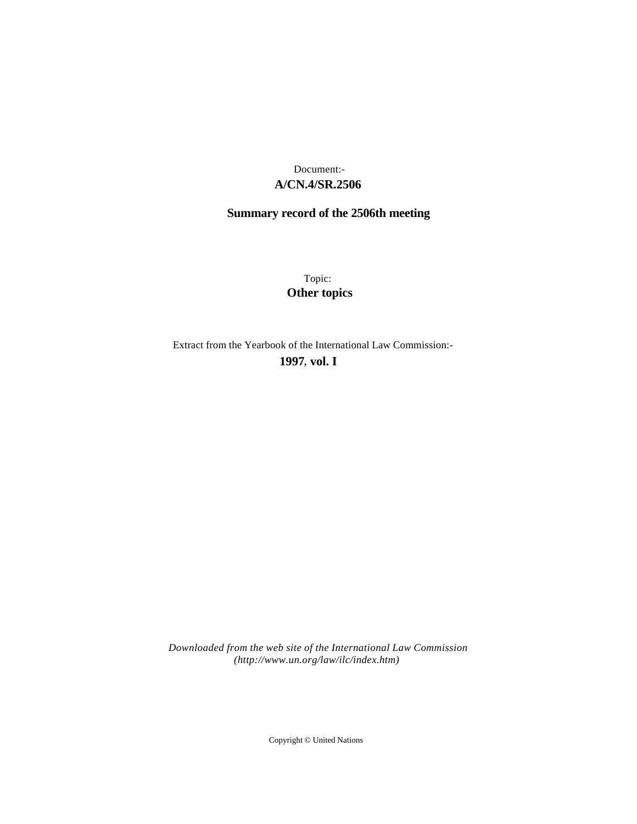## **A/CN.4/SR.2506** Document:-

# **Summary record of the 2506th meeting**

Topic: **Other topics**

Extract from the Yearbook of the International Law Commission:-

**1997** , **vol. I**

*Downloaded from the web site of the International Law Commission (http://www.un.org/law/ilc/index.htm)*

Copyright © United Nations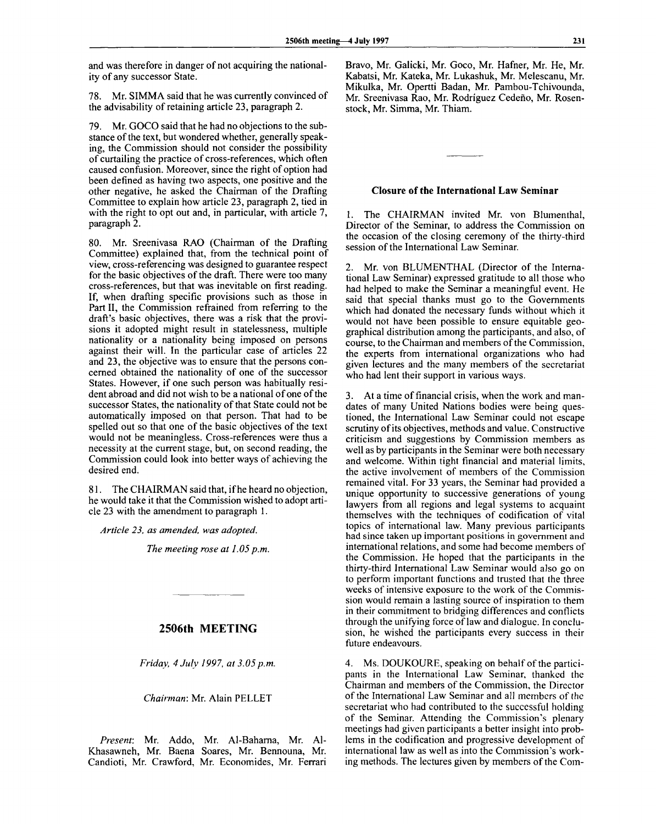and was therefore in danger of not acquiring the nationality of any successor State.

78. Mr. SIMMA said that he was currently convinced of the advisability of retaining article 23, paragraph 2.

Mr. GOCO said that he had no objections to the substance of the text, but wondered whether, generally speaking, the Commission should not consider the possibility of curtailing the practice of cross-references, which often caused confusion. Moreover, since the right of option had been defined as having two aspects, one positive and the other negative, he asked the Chairman of the Drafting Committee to explain how article 23, paragraph 2, tied in with the right to opt out and, in particular, with article 7, paragraph 2.

80. Mr. Sreenivasa RAO (Chairman of the Drafting Committee) explained that, from the technical point of view, cross-referencing was designed to guarantee respect for the basic objectives of the draft. There were too many cross-references, but that was inevitable on first reading. If, when drafting specific provisions such as those in Part II, the Commission refrained from referring to the draft's basic objectives, there was a risk that the provisions it adopted might result in statelessness, multiple nationality or a nationality being imposed on persons against their will. In the particular case of articles 22 and 23, the objective was to ensure that the persons concerned obtained the nationality of one of the successor States. However, if one such person was habitually resident abroad and did not wish to be a national of one of the successor States, the nationality of that State could not be automatically imposed on that person. That had to be spelled out so that one of the basic objectives of the text would not be meaningless. Cross-references were thus a necessity at the current stage, but, on second reading, the Commission could look into better ways of achieving the desired end.

81. The CHAIRMAN said that, if he heard no objection, he would take it that the Commission wished to adopt article 23 with the amendment to paragraph 1.

*Article 23, as amended, was adopted.*

*The meeting rose at 1.05 p.m.*

### **2506th MEETING**

*Friday, 4 July 1997, at 3.05p.m.*

*Chairman:* Mr. Alain PELLET

*Present:* Mr. Addo, Mr. Al-Baharna, Mr. Al-Khasawneh, Mr. Baena Soares, Mr. Bennouna, Mr. Candioti, Mr. Crawford, Mr. Economides, Mr. Ferrari Bravo, Mr. Galicki, Mr. Goco, Mr. Hafner, Mr. He, Mr. Kabatsi, Mr. Kateka, Mr. Lukashuk, Mr. Melescanu, Mr. Mikulka, Mr. Opertti Badan, Mr. Pambou-Tchivounda, Mr. Sreenivasa Rao, Mr. Rodriguez Cedeno, Mr. Rosenstock, Mr. Simma, Mr. Thiam.

#### **Closure of the International Law Seminar**

1. The CHAIRMAN invited Mr. von Blumenthal, Director of the Seminar, to address the Commission on the occasion of the closing ceremony of the thirty-third session of the International Law Seminar.

2. Mr. von BLUMENTHAL (Director of the International Law Seminar) expressed gratitude to all those who had helped to make the Seminar a meaningful event. He said that special thanks must go to the Governments which had donated the necessary funds without which it would not have been possible to ensure equitable geographical distribution among the participants, and also, of course, to the Chairman and members of the Commission, the experts from international organizations who had given lectures and the many members of the secretariat who had lent their support in various ways.

3. At a time of financial crisis, when the work and mandates of many United Nations bodies were being questioned, the International Law Seminar could not escape scrutiny of its objectives, methods and value. Constructive criticism and suggestions by Commission members as well as by participants in the Seminar were both necessary and welcome. Within tight financial and material limits, the active involvement of members of the Commission remained vital. For 33 years, the Seminar had provided a unique opportunity to successive generations of young lawyers from all regions and legal systems to acquaint themselves with the techniques of codification of vital topics of international law. Many previous participants had since taken up important positions in government and international relations, and some had become members of the Commission. He hoped that the participants in the thirty-third International Law Seminar would also go on to perform important functions and trusted that the three weeks of intensive exposure to the work of the Commission would remain a lasting source of inspiration to them in their commitment to bridging differences and conflicts through the unifying force of law and dialogue. In conclusion, he wished the participants every success in their future endeavours.

4. Ms. DOUKOURE, speaking on behalf of the participants in the International Law Seminar, thanked the Chairman and members of the Commission, the Director of the International Law Seminar and all members of the secretariat who had contributed to the successful holding of the Seminar. Attending the Commission's plenary meetings had given participants a better insight into problems in the codification and progressive development of international law as well as into the Commission's working methods. The lectures given by members of the Com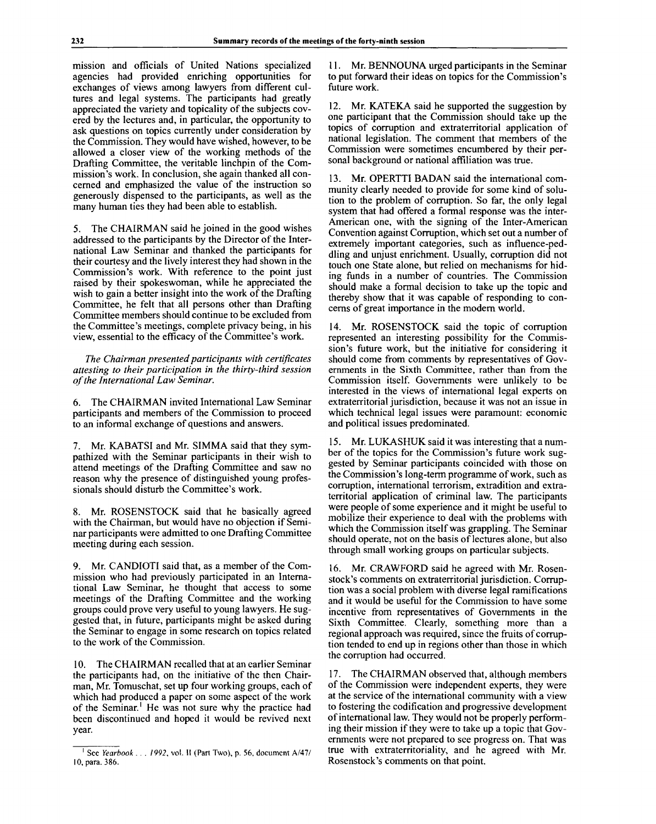mission and officials of United Nations specialized agencies had provided enriching opportunities for exchanges of views among lawyers from different cultures and legal systems. The participants had greatly appreciated the variety and topicality of the subjects covered by the lectures and, in particular, the opportunity to ask questions on topics currently under consideration by the Commission. They would have wished, however, to be allowed a closer view of the working methods of the Drafting Committee, the veritable linchpin of the Commission's work. In conclusion, she again thanked all concerned and emphasized the value of the instruction so generously dispensed to the participants, as well as the many human ties they had been able to establish.

5. The CHAIRMAN said he joined in the good wishes addressed to the participants by the Director of the International Law Seminar and thanked the participants for their courtesy and the lively interest they had shown in the Commission's work. With reference to the point just raised by their spokeswoman, while he appreciated the wish to gain a better insight into the work of the Drafting Committee, he felt that all persons other than Drafting Committee members should continue to be excluded from the Committee's meetings, complete privacy being, in his view, essential to the efficacy of the Committee's work.

*The Chairman presented participants with certificates attesting to their participation in the thirty-third session of the International Law Seminar.*

6. The CHAIRMAN invited International Law Seminar participants and members of the Commission to proceed to an informal exchange of questions and answers.

7. Mr. KABATSI and Mr. SIMMA said that they sympathized with the Seminar participants in their wish to attend meetings of the Drafting Committee and saw no reason why the presence of distinguished young professionals should disturb the Committee's work.

8. Mr. ROSENSTOCK said that he basically agreed with the Chairman, but would have no objection if Seminar participants were admitted to one Drafting Committee meeting during each session.

9. Mr. CANDIOTI said that, as a member of the Commission who had previously participated in an International Law Seminar, he thought that access to some meetings of the Drafting Committee and the working groups could prove very useful to young lawyers. He suggested that, in future, participants might be asked during the Seminar to engage in some research on topics related to the work of the Commission.

10. The CHAIRMAN recalled that at an earlier Seminar the participants had, on the initiative of the then Chairman, Mr. Tomuschat, set up four working groups, each of which had produced a paper on some aspect of the work of the Seminar.<sup>1</sup> He was not sure why the practice had been discontinued and hoped it would be revived next year.

11. Mr. BENNOUNA urged participants in the Seminar to put forward their ideas on topics for the Commission's future work.

12. Mr. KATEKA said he supported the suggestion by one participant that the Commission should take up the topics of corruption and extraterritorial application of national legislation. The comment that members of the Commission were sometimes encumbered by their personal background or national affiliation was true.

13. Mr. OPERTTI BADAN said the international community clearly needed to provide for some kind of solution to the problem of corruption. So far, the only legal system that had offered a formal response was the inter-American one, with the signing of the Inter-American Convention against Corruption, which set out a number of extremely important categories, such as influence-peddling and unjust enrichment. Usually, corruption did not touch one State alone, but relied on mechanisms for hiding funds in a number of countries. The Commission should make a formal decision to take up the topic and thereby show that it was capable of responding to concerns of great importance in the modern world.

14. Mr. ROSENSTOCK said the topic of corruption represented an interesting possibility for the Commission's future work, but the initiative for considering it should come from comments by representatives of Governments in the Sixth Committee, rather than from the Commission itself. Governments were unlikely to be interested in the views of international legal experts on extraterritorial jurisdiction, because it was not an issue in which technical legal issues were paramount: economic and political issues predominated.

15. Mr. LUKASHUK said it was interesting that a number of the topics for the Commission's future work suggested by Seminar participants coincided with those on the Commission's long-term programme of work, such as corruption, international terrorism, extradition and extraterritorial application of criminal law. The participants were people of some experience and it might be useful to mobilize their experience to deal with the problems with which the Commission itself was grappling. The Seminar should operate, not on the basis of lectures alone, but also through small working groups on particular subjects.

16. Mr. CRAWFORD said he agreed with Mr. Rosenstock's comments on extraterritorial jurisdiction. Corruption was a social problem with diverse legal ramifications and it would be useful for the Commission to have some incentive from representatives of Governments in the Sixth Committee. Clearly, something more than a regional approach was required, since the fruits of corruption tended to end up in regions other than those in which the corruption had occurred.

17. The CHAIRMAN observed that, although members of the Commission were independent experts, they were at the service of the international community with a view to fostering the codification and progressive development of international law. They would not be properly performing their mission if they were to take up a topic that Governments were not prepared to see progress on. That was true with extraterritoriality, and he agreed with Mr. Rosenstock's comments on that point.

<sup>1</sup> See *Yearbook . . . 1992,* vol. II (Part Two), p. 56, document A/47/ 10, para. 386.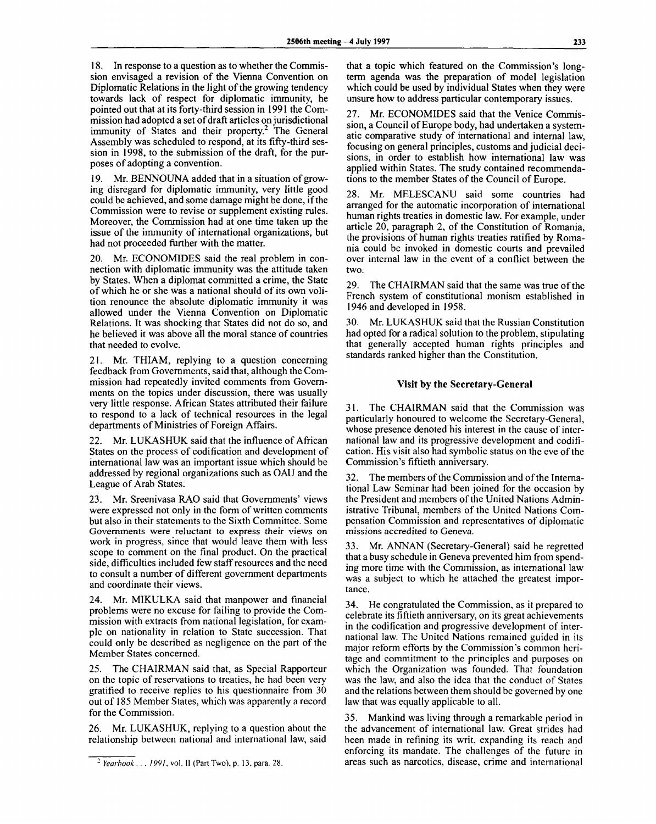18. In response to a question as to whether the Commission envisaged a revision of the Vienna Convention on Diplomatic Relations in the light of the growing tendency towards lack of respect for diplomatic immunity, he pointed out that at its forty-third session in 1991 the Commission had adopted a set of draft articles on jurisdictional immunity of States and their property.<sup>2</sup> The General Assembly was scheduled to respond, at its fifty-third session in 1998, to the submission of the draft, for the purposes of adopting a convention.

19. Mr. BENNOUNA added that in a situation of growing disregard for diplomatic immunity, very little good could be achieved, and some damage might be done, if the Commission were to revise or supplement existing rules. Moreover, the Commission had at one time taken up the issue of the immunity of international organizations, but had not proceeded further with the matter.

20. Mr. ECONOMIDES said the real problem in connection with diplomatic immunity was the attitude taken by States. When a diplomat committed a crime, the State of which he or she was a national should of its own volition renounce the absolute diplomatic immunity it was allowed under the Vienna Convention on Diplomatic Relations. It was shocking that States did not do so, and he believed it was above all the moral stance of countries that needed to evolve.

21. Mr. THIAM, replying to a question concerning feedback from Governments, said that, although the Commission had repeatedly invited comments from Governments on the topics under discussion, there was usually very little response. African States attributed their failure to respond to a lack of technical resources in the legal departments of Ministries of Foreign Affairs.

22. Mr. LUKASHUK said that the influence of African States on the process of codification and development of international law was an important issue which should be addressed by regional organizations such as OAU and the League of Arab States.

23. Mr. Sreenivasa RAO said that Governments' views were expressed not only in the form of written comments but also in their statements to the Sixth Committee. Some Governments were reluctant to express their views on work in progress, since that would leave them with less scope to comment on the final product. On the practical side, difficulties included few staff resources and the need to consult a number of different government departments and coordinate their views.

24. Mr. MIKULKA said that manpower and financial problems were no excuse for failing to provide the Commission with extracts from national legislation, for example on nationality in relation to State succession. That could only be described as negligence on the part of the Member States concerned.

25. The CHAIRMAN said that, as Special Rapporteur on the topic of reservations to treaties, he had been very gratified to receive replies to his questionnaire from 30 out of 185 Member States, which was apparently a record for the Commission.

26. Mr. LUKASHUK, replying to a question about the relationship between national and international law, said that a topic which featured on the Commission's longterm agenda was the preparation of model legislation which could be used by individual States when they were unsure how to address particular contemporary issues.

27. Mr. ECONOMIDES said that the Venice Commission, a Council of Europe body, had undertaken a systematic comparative study of international and internal law, focusing on general principles, customs and judicial decisions, in order to establish how international law was applied within States. The study contained recommendations to the member States of the Council of Europe.

28. Mr. MELESCANU said some countries had arranged for the automatic incorporation of international human rights treaties in domestic law. For example, under article 20, paragraph 2, of the Constitution of Romania, the provisions of human rights treaties ratified by Romania could be invoked in domestic courts and prevailed over internal law in the event of a conflict between the two.

29. The CHAIRMAN said that the same was true of the French system of constitutional monism established in 1946 and developed in 1958.

30. Mr. LUKASHUK said that the Russian Constitution had opted for a radical solution to the problem, stipulating that generally accepted human rights principles and standards ranked higher than the Constitution.

### **Visit by the Secretary-General**

31. The CHAIRMAN said that the Commission was particularly honoured to welcome the Secretary-General, whose presence denoted his interest in the cause of international law and its progressive development and codification. His visit also had symbolic status on the eve of the Commission's fiftieth anniversary.

32. The members of the Commission and of the International Law Seminar had been joined for the occasion by the President and members of the United Nations Administrative Tribunal, members of the United Nations Compensation Commission and representatives of diplomatic missions accredited to Geneva.

33. Mr. ANNAN (Secretary-General) said he regretted that a busy schedule in Geneva prevented him from spending more time with the Commission, as international law was a subject to which he attached the greatest importance.

34. He congratulated the Commission, as it prepared to celebrate its fiftieth anniversary, on its great achievements in the codification and progressive development of international law. The United Nations remained guided in its major reform efforts by the Commission's common heritage and commitment to the principles and purposes on which the Organization was founded. That foundation was the law, and also the idea that the conduct of States and the relations between them should be governed by one law that was equally applicable to all.

35. Mankind was living through a remarkable period in the advancement of international law. Great strides had been made in refining its writ, expanding its reach and enforcing its mandate. The challenges of the future in areas such as narcotics, disease, crime and international

<sup>2</sup>  *Yearbook . . . 1991,* vol. II (Part Two), p. 13, para. 28.